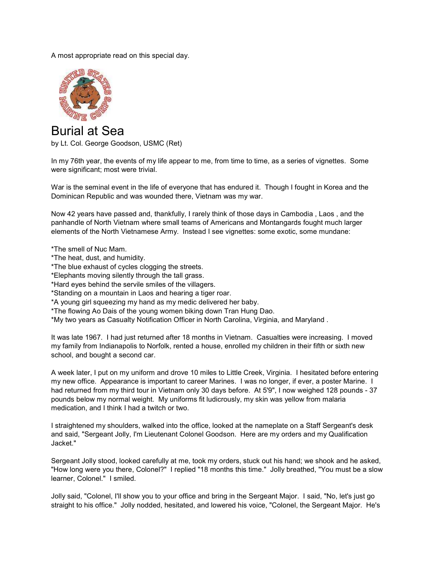A most appropriate read on this special day.



Burial at Sea by Lt. Col. George Goodson, USMC (Ret)

In my 76th year, the events of my life appear to me, from time to time, as a series of vignettes. Some were significant; most were trivial.

War is the seminal event in the life of everyone that has endured it. Though I fought in Korea and the Dominican Republic and was wounded there, Vietnam was my war.

Now 42 years have passed and, thankfully, I rarely think of those days in Cambodia , Laos , and the panhandle of North Vietnam where small teams of Americans and Montangards fought much larger elements of the North Vietnamese Army. Instead I see vignettes: some exotic, some mundane:

\*The smell of Nuc Mam.

- \*The heat, dust, and humidity.
- \*The blue exhaust of cycles clogging the streets.
- \*Elephants moving silently through the tall grass.
- \*Hard eyes behind the servile smiles of the villagers.
- \*Standing on a mountain in Laos and hearing a tiger roar.
- \*A young girl squeezing my hand as my medic delivered her baby.
- \*The flowing Ao Dais of the young women biking down Tran Hung Dao.

\*My two years as Casualty Notification Officer in North Carolina, Virginia, and Maryland .

It was late 1967. I had just returned after 18 months in Vietnam. Casualties were increasing. I moved my family from Indianapolis to Norfolk, rented a house, enrolled my children in their fifth or sixth new school, and bought a second car.

A week later, I put on my uniform and drove 10 miles to Little Creek, Virginia. I hesitated before entering my new office. Appearance is important to career Marines. I was no longer, if ever, a poster Marine. I had returned from my third tour in Vietnam only 30 days before. At 5'9", I now weighed 128 pounds - 37 pounds below my normal weight. My uniforms fit ludicrously, my skin was yellow from malaria medication, and I think I had a twitch or two.

I straightened my shoulders, walked into the office, looked at the nameplate on a Staff Sergeant's desk and said, "Sergeant Jolly, I'm Lieutenant Colonel Goodson. Here are my orders and my Qualification Jacket."

Sergeant Jolly stood, looked carefully at me, took my orders, stuck out his hand; we shook and he asked, "How long were you there, Colonel?" I replied "18 months this time." Jolly breathed, "You must be a slow learner, Colonel." I smiled.

Jolly said, "Colonel, I'll show you to your office and bring in the Sergeant Major. I said, "No, let's just go straight to his office." Jolly nodded, hesitated, and lowered his voice, "Colonel, the Sergeant Major. He's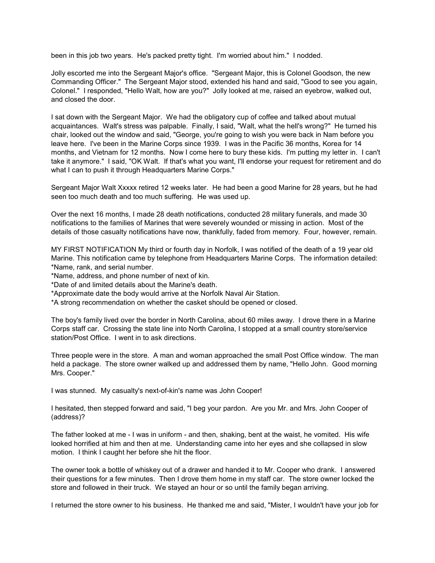been in this job two years. He's packed pretty tight. I'm worried about him." I nodded.

Jolly escorted me into the Sergeant Major's office. "Sergeant Major, this is Colonel Goodson, the new Commanding Officer." The Sergeant Major stood, extended his hand and said, "Good to see you again, Colonel." I responded, "Hello Walt, how are you?" Jolly looked at me, raised an eyebrow, walked out, and closed the door.

I sat down with the Sergeant Major. We had the obligatory cup of coffee and talked about mutual acquaintances. Walt's stress was palpable. Finally, I said, "Walt, what the hell's wrong?" He turned his chair, looked out the window and said, "George, you're going to wish you were back in Nam before you leave here. I've been in the Marine Corps since 1939. I was in the Pacific 36 months, Korea for 14 months, and Vietnam for 12 months. Now I come here to bury these kids. I'm putting my letter in. I can't take it anymore." I said, "OK Walt. If that's what you want, I'll endorse your request for retirement and do what I can to push it through Headquarters Marine Corps."

Sergeant Major Walt Xxxxx retired 12 weeks later. He had been a good Marine for 28 years, but he had seen too much death and too much suffering. He was used up.

Over the next 16 months, I made 28 death notifications, conducted 28 military funerals, and made 30 notifications to the families of Marines that were severely wounded or missing in action. Most of the details of those casualty notifications have now, thankfully, faded from memory. Four, however, remain.

MY FIRST NOTIFICATION My third or fourth day in Norfolk, I was notified of the death of a 19 year old Marine. This notification came by telephone from Headquarters Marine Corps. The information detailed: \*Name, rank, and serial number.

\*Name, address, and phone number of next of kin.

\*Date of and limited details about the Marine's death.

\*Approximate date the body would arrive at the Norfolk Naval Air Station.

\*A strong recommendation on whether the casket should be opened or closed.

The boy's family lived over the border in North Carolina, about 60 miles away. I drove there in a Marine Corps staff car. Crossing the state line into North Carolina, I stopped at a small country store/service station/Post Office. I went in to ask directions.

Three people were in the store. A man and woman approached the small Post Office window. The man held a package. The store owner walked up and addressed them by name, "Hello John. Good morning Mrs. Cooper."

I was stunned. My casualty's next-of-kin's name was John Cooper!

I hesitated, then stepped forward and said, "I beg your pardon. Are you Mr. and Mrs. John Cooper of (address)?

The father looked at me - I was in uniform - and then, shaking, bent at the waist, he vomited. His wife looked horrified at him and then at me. Understanding came into her eyes and she collapsed in slow motion. I think I caught her before she hit the floor.

The owner took a bottle of whiskey out of a drawer and handed it to Mr. Cooper who drank. I answered their questions for a few minutes. Then I drove them home in my staff car. The store owner locked the store and followed in their truck. We stayed an hour or so until the family began arriving.

I returned the store owner to his business. He thanked me and said, "Mister, I wouldn't have your job for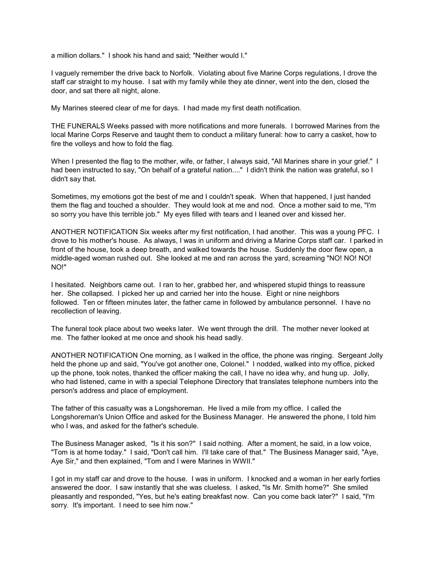a million dollars." I shook his hand and said; "Neither would I."

I vaguely remember the drive back to Norfolk. Violating about five Marine Corps regulations, I drove the staff car straight to my house. I sat with my family while they ate dinner, went into the den, closed the door, and sat there all night, alone.

My Marines steered clear of me for days. I had made my first death notification.

THE FUNERALS Weeks passed with more notifications and more funerals. I borrowed Marines from the local Marine Corps Reserve and taught them to conduct a military funeral: how to carry a casket, how to fire the volleys and how to fold the flag.

When I presented the flag to the mother, wife, or father, I always said, "All Marines share in your grief." I had been instructed to say, "On behalf of a grateful nation...." I didn't think the nation was grateful, so I didn't say that.

Sometimes, my emotions got the best of me and I couldn't speak. When that happened, I just handed them the flag and touched a shoulder. They would look at me and nod. Once a mother said to me, "I'm so sorry you have this terrible job." My eyes filled with tears and I leaned over and kissed her.

ANOTHER NOTIFICATION Six weeks after my first notification, I had another. This was a young PFC. I drove to his mother's house. As always, I was in uniform and driving a Marine Corps staff car. I parked in front of the house, took a deep breath, and walked towards the house. Suddenly the door flew open, a middle-aged woman rushed out. She looked at me and ran across the yard, screaming "NO! NO! NO! NO!"

I hesitated. Neighbors came out. I ran to her, grabbed her, and whispered stupid things to reassure her. She collapsed. I picked her up and carried her into the house. Eight or nine neighbors followed. Ten or fifteen minutes later, the father came in followed by ambulance personnel. I have no recollection of leaving.

The funeral took place about two weeks later. We went through the drill. The mother never looked at me. The father looked at me once and shook his head sadly.

ANOTHER NOTIFICATION One morning, as I walked in the office, the phone was ringing. Sergeant Jolly held the phone up and said, "You've got another one, Colonel." I nodded, walked into my office, picked up the phone, took notes, thanked the officer making the call, I have no idea why, and hung up. Jolly, who had listened, came in with a special Telephone Directory that translates telephone numbers into the person's address and place of employment.

The father of this casualty was a Longshoreman. He lived a mile from my office. I called the Longshoreman's Union Office and asked for the Business Manager. He answered the phone, I told him who I was, and asked for the father's schedule.

The Business Manager asked, "Is it his son?" I said nothing. After a moment, he said, in a low voice, "Tom is at home today." I said, "Don't call him. I'll take care of that." The Business Manager said, "Aye, Aye Sir," and then explained, "Tom and I were Marines in WWII."

I got in my staff car and drove to the house. I was in uniform. I knocked and a woman in her early forties answered the door. I saw instantly that she was clueless. I asked, "Is Mr. Smith home?" She smiled pleasantly and responded, "Yes, but he's eating breakfast now. Can you come back later?" I said, "I'm sorry. It's important. I need to see him now."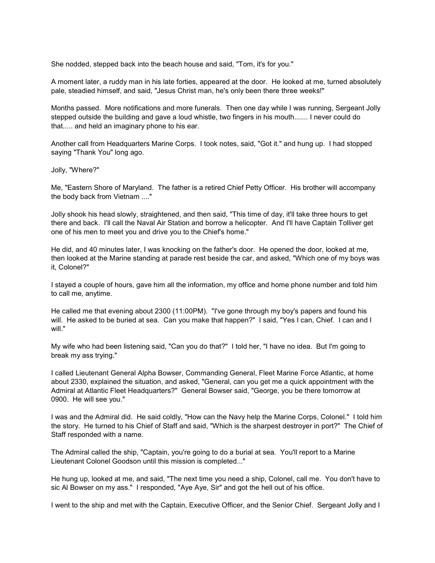She nodded, stepped back into the beach house and said, "Tom, it's for you."

A moment later, a ruddy man in his late forties, appeared at the door. He looked at me, turned absolutely pale, steadied himself, and said, "Jesus Christ man, he's only been there three weeks!"

Months passed. More notifications and more funerals. Then one day while I was running, Sergeant Jolly stepped outside the building and gave a loud whistle, two fingers in his mouth....... I never could do that..... and held an imaginary phone to his ear.

Another call from Headquarters Marine Corps. I took notes, said, "Got it." and hung up. I had stopped saying "Thank You" long ago.

Jolly, "Where?"

Me, "Eastern Shore of Maryland. The father is a retired Chief Petty Officer. His brother will accompany the body back from Vietnam ...."

Jolly shook his head slowly, straightened, and then said, "This time of day, it'll take three hours to get there and back. I'll call the Naval Air Station and borrow a helicopter. And I'll have Captain Tolliver get one of his men to meet you and drive you to the Chief's home."

He did, and 40 minutes later, I was knocking on the father's door. He opened the door, looked at me, then looked at the Marine standing at parade rest beside the car, and asked, "Which one of my boys was it, Colonel?"

I stayed a couple of hours, gave him all the information, my office and home phone number and told him to call me, anytime.

He called me that evening about 2300 (11:00PM). "I've gone through my boy's papers and found his will. He asked to be buried at sea. Can you make that happen?" I said, "Yes I can, Chief. I can and I will."

My wife who had been listening said, "Can you do that?" I told her, "I have no idea. But I'm going to break my ass trying."

I called Lieutenant General Alpha Bowser, Commanding General, Fleet Marine Force Atlantic, at home about 2330, explained the situation, and asked, "General, can you get me a quick appointment with the Admiral at Atlantic Fleet Headquarters?" General Bowser said, "George, you be there tomorrow at 0900. He will see you."

I was and the Admiral did. He said coldly, "How can the Navy help the Marine Corps, Colonel." I told him the story. He turned to his Chief of Staff and said, "Which is the sharpest destroyer in port?" The Chief of Staff responded with a name.

The Admiral called the ship, "Captain, you're going to do a burial at sea. You'll report to a Marine Lieutenant Colonel Goodson until this mission is completed..."

He hung up, looked at me, and said, "The next time you need a ship, Colonel, call me. You don't have to sic Al Bowser on my ass." I responded, "Aye Aye, Sir" and got the hell out of his office.

I went to the ship and met with the Captain, Executive Officer, and the Senior Chief. Sergeant Jolly and I